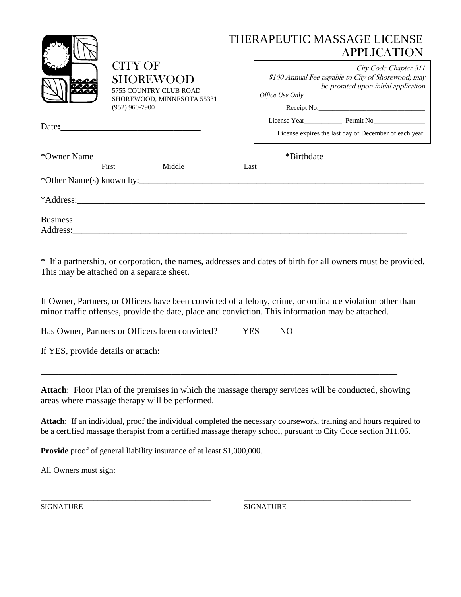|                 |                                                                                                                | THERAPEUTIC MASSAGE LICENSE<br><b>APPLICATION</b>                                                                                                     |
|-----------------|----------------------------------------------------------------------------------------------------------------|-------------------------------------------------------------------------------------------------------------------------------------------------------|
|                 | <b>CITY OF</b><br><b>SHOREWOOD</b><br>5755 COUNTRY CLUB ROAD<br>SHOREWOOD, MINNESOTA 55331<br>$(952)$ 960-7900 | City Code Chapter 311<br>\$100 Annual Fee payable to City of Shorewood; may<br>be prorated upon initial application<br>Office Use Only<br>Receipt No. |
|                 | Date:                                                                                                          | License expires the last day of December of each year.                                                                                                |
|                 | *Owner Name                                                                                                    | $\frac{\text{F}}{\text{F}}$ *Birthdate                                                                                                                |
|                 | Middle<br>First                                                                                                | Last                                                                                                                                                  |
|                 |                                                                                                                |                                                                                                                                                       |
|                 |                                                                                                                |                                                                                                                                                       |
| <b>Business</b> |                                                                                                                |                                                                                                                                                       |

\* If a partnership, or corporation, the names, addresses and dates of birth for all owners must be provided. This may be attached on a separate sheet.

If Owner, Partners, or Officers have been convicted of a felony, crime, or ordinance violation other than minor traffic offenses, provide the date, place and conviction. This information may be attached.

Has Owner, Partners or Officers been convicted? YES NO

If YES, provide details or attach:

**Attach**: Floor Plan of the premises in which the massage therapy services will be conducted, showing areas where massage therapy will be performed.

\_\_\_\_\_\_\_\_\_\_\_\_\_\_\_\_\_\_\_\_\_\_\_\_\_\_\_\_\_\_\_\_\_\_\_\_\_\_\_\_\_\_\_\_\_\_\_\_\_\_\_\_\_\_\_\_\_\_\_\_\_\_\_\_\_\_\_\_\_\_\_\_\_\_\_\_\_\_\_

**Attach**: If an individual, proof the individual completed the necessary coursework, training and hours required to be a certified massage therapist from a certified massage therapy school, pursuant to City Code section 311.06.

\_\_\_\_\_\_\_\_\_\_\_\_\_\_\_\_\_\_\_\_\_\_\_\_\_\_\_\_\_\_\_\_\_\_\_\_\_\_\_\_\_\_\_\_\_ \_\_\_\_\_\_\_\_\_\_\_\_\_\_\_\_\_\_\_\_\_\_\_\_\_\_\_\_\_\_\_\_\_\_\_\_\_\_\_\_\_\_\_\_

**Provide** proof of general liability insurance of at least \$1,000,000.

All Owners must sign:

SIGNATURE SIGNATURE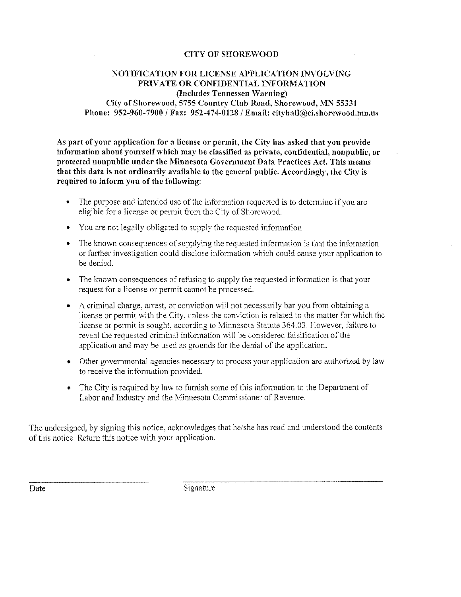## **CITY OF SHOREWOOD**

## NOTIFICATION FOR LICENSE APPLICATION INVOLVING PRIVATE OR CONFIDENTIAL INFORMATION (Includes Tennessen Warning) City of Shorewood, 5755 Country Club Road, Shorewood, MN 55331 Phone: 952-960-7900 / Fax: 952-474-0128 / Email: cityhall@ci.shorewood.mn.us

As part of your application for a license or permit, the City has asked that you provide information about yourself which may be classified as private, confidential, nonpublic, or protected nonpublic under the Minnesota Government Data Practices Act. This means that this data is not ordinarily available to the general public. Accordingly, the City is required to inform you of the following:

- The purpose and intended use of the information requested is to determine if you are eligible for a license or permit from the City of Shorewood.
- You are not legally obligated to supply the requested information.
- The known consequences of supplying the requested information is that the information or further investigation could disclose information which could cause your application to be denied.
- The known consequences of refusing to supply the requested information is that your request for a license or permit cannot be processed.
- A criminal charge, arrest, or conviction will not necessarily bar you from obtaining a license or permit with the City, unless the conviction is related to the matter for which the license or permit is sought, according to Minnesota Statute 364.03. However, failure to reveal the requested criminal information will be considered falsification of the application and may be used as grounds for the denial of the application.
- Other governmental agencies necessary to process your application are authorized by law to receive the information provided.
- The City is required by law to furnish some of this information to the Department of Labor and Industry and the Minnesota Commissioner of Revenue.

The undersigned, by signing this notice, acknowledges that he/she has read and understood the contents of this notice. Return this notice with your application.

Date

Signature